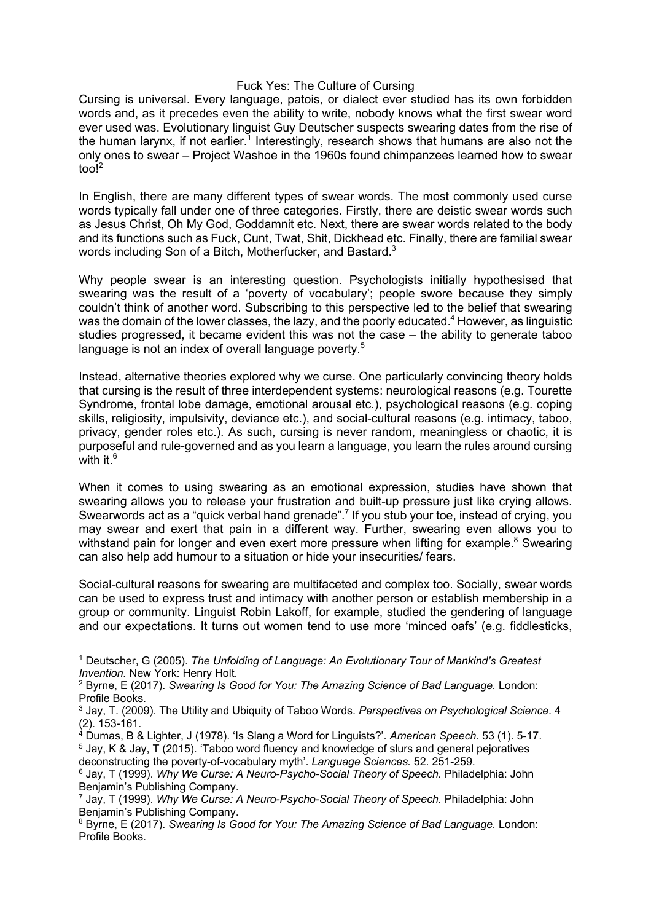## Fuck Yes: The Culture of Cursing

Cursing is universal. Every language, patois, or dialect ever studied has its own forbidden words and, as it precedes even the ability to write, nobody knows what the first swear word ever used was. Evolutionary linguist Guy Deutscher suspects swearing dates from the rise of the human larynx, if not earlier.<sup>1</sup> Interestingly, research shows that humans are also not the only ones to swear – Project Washoe in the 1960s found chimpanzees learned how to swear too! 2

In English, there are many different types of swear words. The most commonly used curse words typically fall under one of three categories. Firstly, there are deistic swear words such as Jesus Christ, Oh My God, Goddamnit etc. Next, there are swear words related to the body and its functions such as Fuck, Cunt, Twat, Shit, Dickhead etc. Finally, there are familial swear words including Son of a Bitch, Motherfucker, and Bastard.<sup>3</sup>

Why people swear is an interesting question. Psychologists initially hypothesised that swearing was the result of a 'poverty of vocabulary'; people swore because they simply couldn't think of another word. Subscribing to this perspective led to the belief that swearing was the domain of the lower classes, the lazy, and the poorly educated.<sup>4</sup> However, as linguistic studies progressed, it became evident this was not the case – the ability to generate taboo language is not an index of overall language poverty.<sup>5</sup>

Instead, alternative theories explored why we curse. One particularly convincing theory holds that cursing is the result of three interdependent systems: neurological reasons (e.g. Tourette Syndrome, frontal lobe damage, emotional arousal etc.), psychological reasons (e.g. coping skills, religiosity, impulsivity, deviance etc.), and social-cultural reasons (e.g. intimacy, taboo, privacy, gender roles etc.). As such, cursing is never random, meaningless or chaotic, it is purposeful and rule-governed and as you learn a language, you learn the rules around cursing with it  $6$ 

When it comes to using swearing as an emotional expression, studies have shown that swearing allows you to release your frustration and built-up pressure just like crying allows. Swearwords act as a "quick verbal hand grenade".<sup>7</sup> If you stub your toe, instead of crying, you may swear and exert that pain in a different way. Further, swearing even allows you to withstand pain for longer and even exert more pressure when lifting for example.<sup>8</sup> Swearing can also help add humour to a situation or hide your insecurities/ fears.

Social-cultural reasons for swearing are multifaceted and complex too. Socially, swear words can be used to express trust and intimacy with another person or establish membership in a group or community. Linguist Robin Lakoff, for example, studied the gendering of language and our expectations. It turns out women tend to use more 'minced oafs' (e.g. fiddlesticks,

<sup>1</sup> Deutscher, G (2005). *The Unfolding of Language: An Evolutionary Tour of Mankind's Greatest* 

<sup>&</sup>lt;sup>2</sup> Byrne, E (2017). *Swearing Is Good for You: The Amazing Science of Bad Language. London:* Profile Books.

<sup>3</sup> Jay, T. (2009). The Utility and Ubiquity of Taboo Words. *Perspectives on Psychological Science*. 4 (2). 153-161.

<sup>4</sup> Dumas, B & Lighter, J (1978). 'Is Slang a Word for Linguists?'. *American Speech.* 53 (1). 5-17.

 $5$  Jay, K & Jay, T (2015). 'Taboo word fluency and knowledge of slurs and general pejoratives deconstructing the poverty-of-vocabulary myth'. *Language Sciences.* 52. 251-259.

<sup>6</sup> Jay, T (1999). *Why We Curse: A Neuro-Psycho-Social Theory of Speech.* Philadelphia: John Benjamin's Publishing Company.

<sup>7</sup> Jay, T (1999). *Why We Curse: A Neuro-Psycho-Social Theory of Speech.* Philadelphia: John Benjamin's Publishing Company.

<sup>8</sup> Byrne, E (2017). *Swearing Is Good for You: The Amazing Science of Bad Language.* London: Profile Books.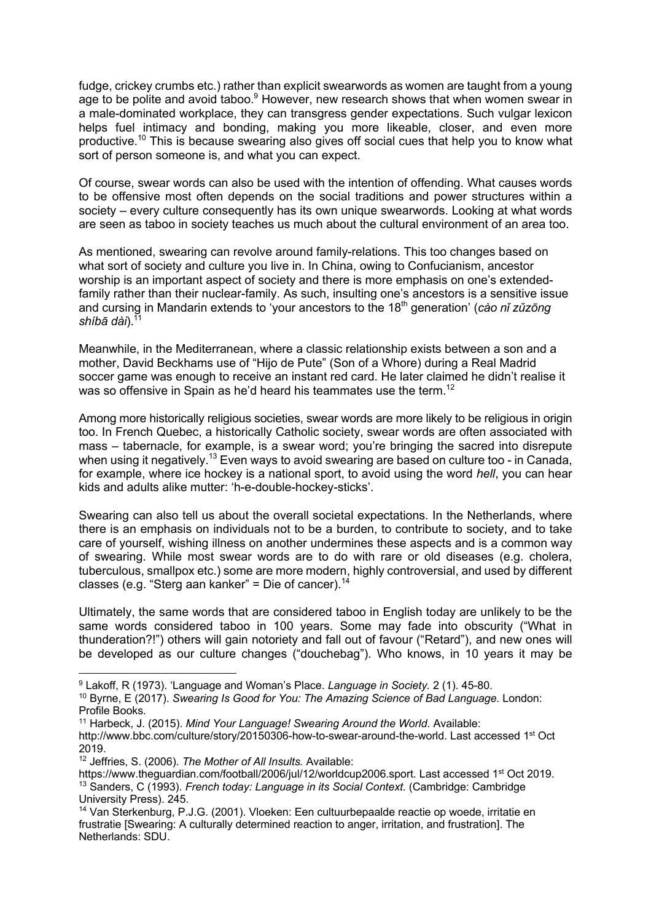fudge, crickey crumbs etc.) rather than explicit swearwords as women are taught from a young age to be polite and avoid taboo.<sup>9</sup> However, new research shows that when women swear in a male-dominated workplace, they can transgress gender expectations. Such vulgar lexicon helps fuel intimacy and bonding, making you more likeable, closer, and even more productive.<sup>10</sup> This is because swearing also gives off social cues that help you to know what sort of person someone is, and what you can expect.

Of course, swear words can also be used with the intention of offending. What causes words to be offensive most often depends on the social traditions and power structures within a society – every culture consequently has its own unique swearwords. Looking at what words are seen as taboo in society teaches us much about the cultural environment of an area too.

As mentioned, swearing can revolve around family-relations. This too changes based on what sort of society and culture you live in. In China, owing to Confucianism, ancestor worship is an important aspect of society and there is more emphasis on one's extendedfamily rather than their nuclear-family. As such, insulting one's ancestors is a sensitive issue and cursing in Mandarin extends to 'your ancestors to the 18th generation' (*cào nǐ zǔzōng shíbā dài*).11

Meanwhile, in the Mediterranean, where a classic relationship exists between a son and a mother, David Beckhams use of "Hijo de Pute" (Son of a Whore) during a Real Madrid soccer game was enough to receive an instant red card. He later claimed he didn't realise it was so offensive in Spain as he'd heard his teammates use the term.<sup>12</sup>

Among more historically religious societies, swear words are more likely to be religious in origin too. In French Quebec, a historically Catholic society, swear words are often associated with mass – tabernacle, for example, is a swear word; you're bringing the sacred into disrepute when using it negatively.<sup>13</sup> Even ways to avoid swearing are based on culture too - in Canada, for example, where ice hockey is a national sport, to avoid using the word *hell*, you can hear kids and adults alike mutter: 'h-e-double-hockey-sticks'.

Swearing can also tell us about the overall societal expectations. In the Netherlands, where there is an emphasis on individuals not to be a burden, to contribute to society, and to take care of yourself, wishing illness on another undermines these aspects and is a common way of swearing. While most swear words are to do with rare or old diseases (e.g. cholera, tuberculous, smallpox etc.) some are more modern, highly controversial, and used by different classes (e.g. "Sterg aan kanker" = Die of cancer).<sup>14</sup>

Ultimately, the same words that are considered taboo in English today are unlikely to be the same words considered taboo in 100 years. Some may fade into obscurity ("What in thunderation?!") others will gain notoriety and fall out of favour ("Retard"), and new ones will be developed as our culture changes ("douchebag"). Who knows, in 10 years it may be

<sup>9</sup> Lakoff, R (1973). 'Language and Woman's Place. *Language in Society.* 2 (1). 45-80.

<sup>10</sup> Byrne, E (2017). *Swearing Is Good for You: The Amazing Science of Bad Language.* London: Profile Books.

<sup>11</sup> Harbeck, J. (2015). *Mind Your Language! Swearing Around the World*. Available:

http://www.bbc.com/culture/story/20150306-how-to-swear-around-the-world. Last accessed 1<sup>st</sup> Oct 2019.

<sup>12</sup> Jeffries, S. (2006). *The Mother of All Insults.* Available:

https://www.theguardian.com/football/2006/jul/12/worldcup2006.sport. Last accessed 1<sup>st</sup> Oct 2019. <sup>13</sup> Sanders, C (1993). *French today: Language in its Social Context.* (Cambridge: Cambridge University Press). 245.

<sup>14</sup> Van Sterkenburg, P.J.G. (2001). Vloeken: Een cultuurbepaalde reactie op woede, irritatie en frustratie [Swearing: A culturally determined reaction to anger, irritation, and frustration]. The Netherlands: SDU.